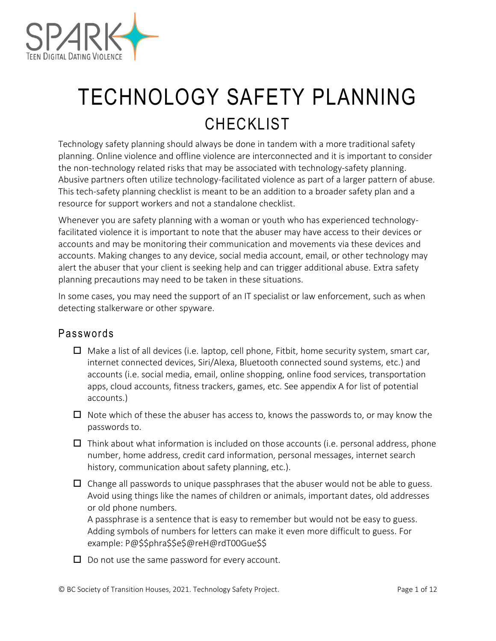

# TECHNOLOGY SAFETY PLANNING **CHECKLIST**

Technology safety planning should always be done in tandem with a more traditional safety planning. Online violence and offline violence are interconnected and it is important to consider the non-technology related risks that may be associated with technology-safety planning. Abusive partners often utilize technology-facilitated violence as part of a larger pattern of abuse. This tech-safety planning checklist is meant to be an addition to a broader safety plan and a resource for support workers and not a standalone checklist.

Whenever you are safety planning with a woman or youth who has experienced technologyfacilitated violence it is important to note that the abuser may have access to their devices or accounts and may be monitoring their communication and movements via these devices and accounts. Making changes to any device, social media account, email, or other technology may alert the abuser that your client is seeking help and can trigger additional abuse. Extra safety planning precautions may need to be taken in these situations.

In some cases, you may need the support of an IT specialist or law enforcement, such as when detecting stalkerware or other spyware.

# Passwords

- $\Box$  Make a list of all devices (i.e. laptop, cell phone, Fitbit, home security system, smart car, internet connected devices, Siri/Alexa, Bluetooth connected sound systems, etc.) and accounts (i.e. social media, email, online shopping, online food services, transportation apps, cloud accounts, fitness trackers, games, etc. See appendix A for list of potential accounts.)
- $\Box$  Note which of these the abuser has access to, knows the passwords to, or may know the passwords to.
- $\Box$  Think about what information is included on those accounts (i.e. personal address, phone number, home address, credit card information, personal messages, internet search history, communication about safety planning, etc.).
- $\Box$  Change all passwords to unique passphrases that the abuser would not be able to guess. Avoid using things like the names of children or animals, important dates, old addresses or old phone numbers.

A passphrase is a sentence that is easy to remember but would not be easy to guess. Adding symbols of numbers for letters can make it even more difficult to guess. For example: P@\$\$phra\$\$e\$@reH@rdT00Gue\$\$

 $\Box$  Do not use the same password for every account.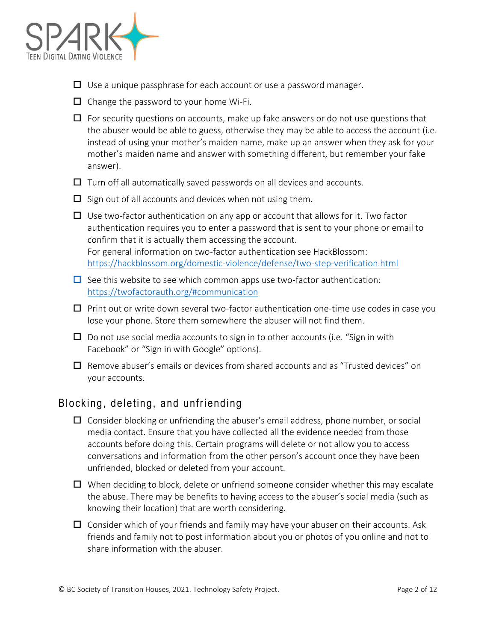

- $\Box$  Use a unique passphrase for each account or use a password manager.
- $\Box$  Change the password to your home Wi-Fi.
- $\Box$  For security questions on accounts, make up fake answers or do not use questions that the abuser would be able to guess, otherwise they may be able to access the account (i.e. instead of using your mother's maiden name, make up an answer when they ask for your mother's maiden name and answer with something different, but remember your fake answer).
- $\Box$  Turn off all automatically saved passwords on all devices and accounts.
- $\square$  Sign out of all accounts and devices when not using them.
- $\Box$  Use two-factor authentication on any app or account that allows for it. Two factor authentication requires you to enter a password that is sent to your phone or email to confirm that it is actually them accessing the account. For general information on two-factor authentication see HackBlossom: <https://hackblossom.org/domestic-violence/defense/two-step-verification.html>
- $\Box$  See this website to see which common apps use two-factor authentication: <https://twofactorauth.org/#communication>
- $\Box$  Print out or write down several two-factor authentication one-time use codes in case you lose your phone. Store them somewhere the abuser will not find them.
- $\Box$  Do not use social media accounts to sign in to other accounts (i.e. "Sign in with Facebook" or "Sign in with Google" options).
- $\Box$  Remove abuser's emails or devices from shared accounts and as "Trusted devices" on your accounts.

# Blocking, deleting, and unfriending

- $\Box$  Consider blocking or unfriending the abuser's email address, phone number, or social media contact. Ensure that you have collected all the evidence needed from those accounts before doing this. Certain programs will delete or not allow you to access conversations and information from the other person's account once they have been unfriended, blocked or deleted from your account.
- $\Box$  When deciding to block, delete or unfriend someone consider whether this may escalate the abuse. There may be benefits to having access to the abuser's social media (such as knowing their location) that are worth considering.
- $\Box$  Consider which of your friends and family may have your abuser on their accounts. Ask friends and family not to post information about you or photos of you online and not to share information with the abuser.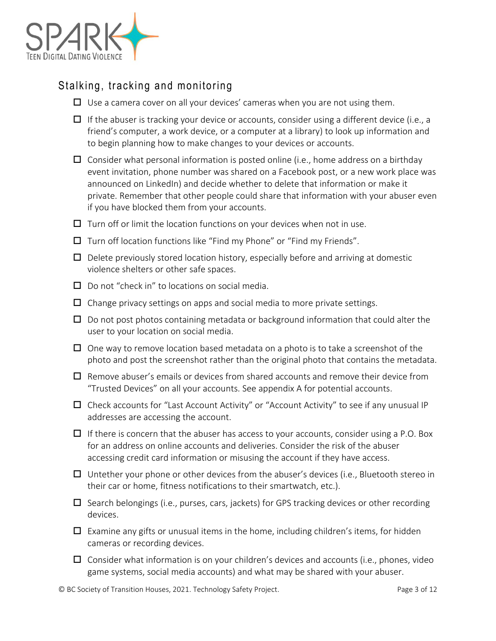

# Stalking, tracking and monitoring

- $\Box$  Use a camera cover on all your devices' cameras when you are not using them.
- $\Box$  If the abuser is tracking your device or accounts, consider using a different device (i.e., a friend's computer, a work device, or a computer at a library) to look up information and to begin planning how to make changes to your devices or accounts.
- $\Box$  Consider what personal information is posted online (i.e., home address on a birthday event invitation, phone number was shared on a Facebook post, or a new work place was announced on LinkedIn) and decide whether to delete that information or make it private. Remember that other people could share that information with your abuser even if you have blocked them from your accounts.
- $\Box$  Turn off or limit the location functions on your devices when not in use.
- $\Box$  Turn off location functions like "Find my Phone" or "Find my Friends".
- $\Box$  Delete previously stored location history, especially before and arriving at domestic violence shelters or other safe spaces.
- $\square$  Do not "check in" to locations on social media.
- $\Box$  Change privacy settings on apps and social media to more private settings.
- $\Box$  Do not post photos containing metadata or background information that could alter the user to your location on social media.
- $\Box$  One way to remove location based metadata on a photo is to take a screenshot of the photo and post the screenshot rather than the original photo that contains the metadata.
- $\Box$  Remove abuser's emails or devices from shared accounts and remove their device from "Trusted Devices" on all your accounts. See appendix A for potential accounts.
- $\Box$  Check accounts for "Last Account Activity" or "Account Activity" to see if any unusual IP addresses are accessing the account.
- $\Box$  If there is concern that the abuser has access to your accounts, consider using a P.O. Box for an address on online accounts and deliveries. Consider the risk of the abuser accessing credit card information or misusing the account if they have access.
- $\Box$  Untether your phone or other devices from the abuser's devices (i.e., Bluetooth stereo in their car or home, fitness notifications to their smartwatch, etc.).
- $\Box$  Search belongings (i.e., purses, cars, jackets) for GPS tracking devices or other recording devices.
- $\Box$  Examine any gifts or unusual items in the home, including children's items, for hidden cameras or recording devices.
- $\Box$  Consider what information is on your children's devices and accounts (i.e., phones, video game systems, social media accounts) and what may be shared with your abuser.

© BC Society of Transition Houses, 2021. Technology Safety Project. Page 3 of 12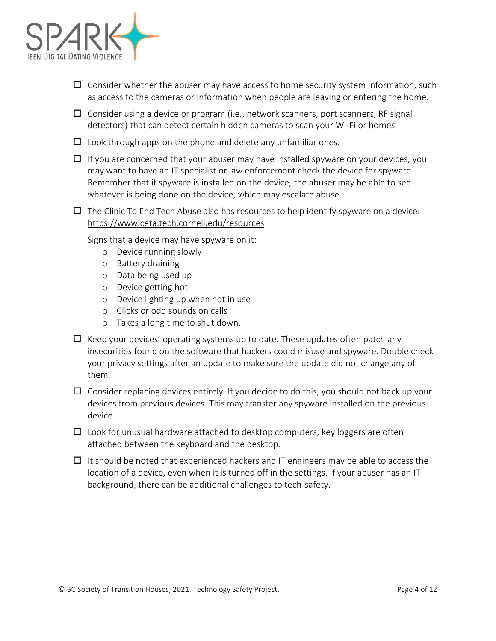

- $\Box$  Consider whether the abuser may have access to home security system information, such as access to the cameras or information when people are leaving or entering the home.
- $\Box$  Consider using a device or program (i.e., network scanners, port scanners, RF signal detectors) that can detect certain hidden cameras to scan your Wi-Fi or homes.
- $\Box$  Look through apps on the phone and delete any unfamiliar ones.
- $\Box$  If you are concerned that your abuser may have installed spyware on your devices, you may want to have an IT specialist or law enforcement check the device for spyware. Remember that if spyware is installed on the device, the abuser may be able to see whatever is being done on the device, which may escalate abuse.
- $\Box$  The Clinic To End Tech Abuse also has resources to help identify spyware on a device: <https://www.ceta.tech.cornell.edu/resources>

Signs that a device may have spyware on it:

- o Device running slowly
- o Battery draining
- o Data being used up
- o Device getting hot
- o Device lighting up when not in use
- o Clicks or odd sounds on calls
- o Takes a long time to shut down.
- $\Box$  Keep your devices' operating systems up to date. These updates often patch any insecurities found on the software that hackers could misuse and spyware. Double check your privacy settings after an update to make sure the update did not change any of them.
- $\Box$  Consider replacing devices entirely. If you decide to do this, you should not back up your devices from previous devices. This may transfer any spyware installed on the previous device.
- $\Box$  Look for unusual hardware attached to desktop computers, key loggers are often attached between the keyboard and the desktop.
- $\Box$  It should be noted that experienced hackers and IT engineers may be able to access the location of a device, even when it is turned off in the settings. If your abuser has an IT background, there can be additional challenges to tech-safety.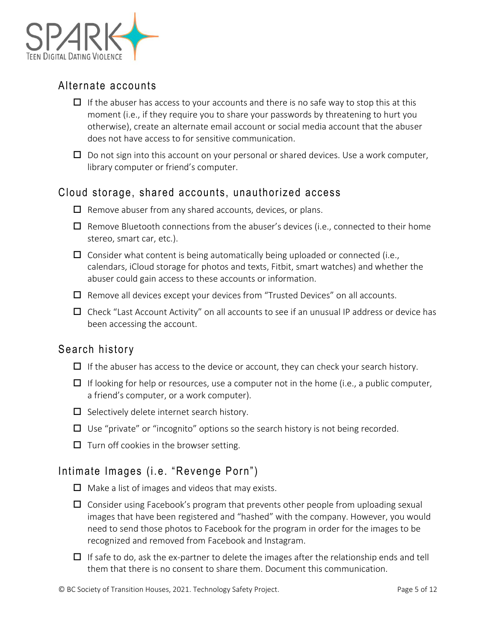

### Alternate accounts

- $\Box$  If the abuser has access to your accounts and there is no safe way to stop this at this moment (i.e., if they require you to share your passwords by threatening to hurt you otherwise), create an alternate email account or social media account that the abuser does not have access to for sensitive communication.
- $\Box$  Do not sign into this account on your personal or shared devices. Use a work computer, library computer or friend's computer.

#### Cloud storage, shared accounts, unauthorized access

- $\Box$  Remove abuser from any shared accounts, devices, or plans.
- $\Box$  Remove Bluetooth connections from the abuser's devices (i.e., connected to their home stereo, smart car, etc.).
- $\Box$  Consider what content is being automatically being uploaded or connected (i.e., calendars, iCloud storage for photos and texts, Fitbit, smart watches) and whether the abuser could gain access to these accounts or information.
- $\Box$  Remove all devices except your devices from "Trusted Devices" on all accounts.
- $\Box$  Check "Last Account Activity" on all accounts to see if an unusual IP address or device has been accessing the account.

#### Search history

- $\Box$  If the abuser has access to the device or account, they can check your search history.
- $\Box$  If looking for help or resources, use a computer not in the home (i.e., a public computer, a friend's computer, or a work computer).
- $\Box$  Selectively delete internet search history.
- $\Box$  Use "private" or "incognito" options so the search history is not being recorded.
- $\Box$  Turn off cookies in the browser setting.

#### Intimate Images (i.e. "Revenge Porn")

- $\Box$  Make a list of images and videos that may exists.
- $\Box$  Consider using Facebook's program that prevents other people from uploading sexual images that have been registered and "hashed" with the company. However, you would need to send those photos to Facebook for the program in order for the images to be recognized and removed from Facebook and Instagram.
- $\Box$  If safe to do, ask the ex-partner to delete the images after the relationship ends and tell them that there is no consent to share them. Document this communication.

© BC Society of Transition Houses, 2021. Technology Safety Project. Page 5 of 12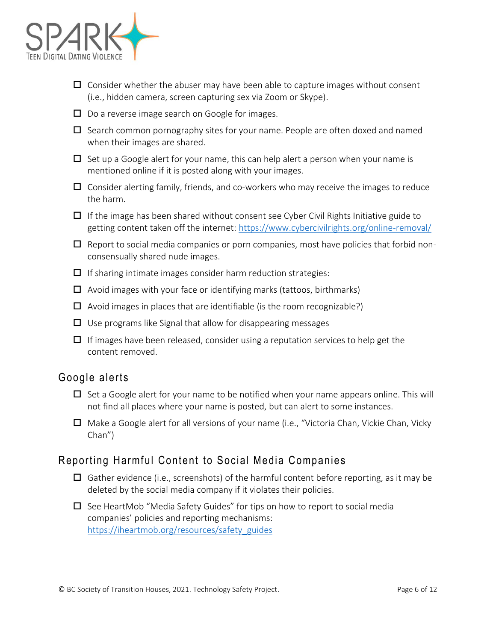

- $\Box$  Consider whether the abuser may have been able to capture images without consent (i.e., hidden camera, screen capturing sex via Zoom or Skype).
- $\Box$  Do a reverse image search on Google for images.
- $\Box$  Search common pornography sites for your name. People are often doxed and named when their images are shared.
- $\Box$  Set up a Google alert for your name, this can help alert a person when your name is mentioned online if it is posted along with your images.
- $\Box$  Consider alerting family, friends, and co-workers who may receive the images to reduce the harm.
- $\Box$  If the image has been shared without consent see Cyber Civil Rights Initiative guide to getting content taken off the internet:<https://www.cybercivilrights.org/online-removal/>
- $\Box$  Report to social media companies or porn companies, most have policies that forbid nonconsensually shared nude images.
- $\Box$  If sharing intimate images consider harm reduction strategies:
- $\Box$  Avoid images with your face or identifying marks (tattoos, birthmarks)
- $\Box$  Avoid images in places that are identifiable (is the room recognizable?)
- $\Box$  Use programs like Signal that allow for disappearing messages
- $\Box$  If images have been released, consider using a reputation services to help get the content removed.

#### Google alerts

- $\Box$  Set a Google alert for your name to be notified when your name appears online. This will not find all places where your name is posted, but can alert to some instances.
- $\Box$  Make a Google alert for all versions of your name (i.e., "Victoria Chan, Vickie Chan, Vicky Chan")

#### Reporting Harmful Content to Social Media Companies

- $\Box$  Gather evidence (i.e., screenshots) of the harmful content before reporting, as it may be deleted by the social media company if it violates their policies.
- $\Box$  See HeartMob "Media Safety Guides" for tips on how to report to social media companies' policies and reporting mechanisms: [https://iheartmob.org/resources/safety\\_guides](https://iheartmob.org/resources/safety_guides)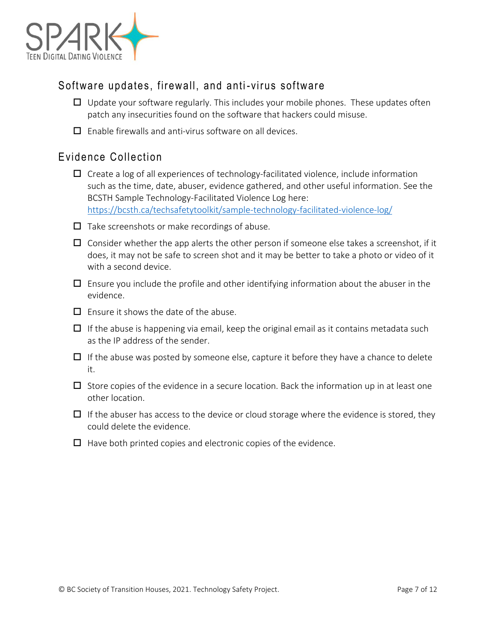

## Software updates, firewall, and anti-virus software

- $\Box$  Update your software regularly. This includes your mobile phones. These updates often patch any insecurities found on the software that hackers could misuse.
- $\Box$  Enable firewalls and anti-virus software on all devices.

## Evidence Collection

- $\Box$  Create a log of all experiences of technology-facilitated violence, include information such as the time, date, abuser, evidence gathered, and other useful information. See the BCSTH Sample Technology-Facilitated Violence Log here: <https://bcsth.ca/techsafetytoolkit/sample-technology-facilitated-violence-log/>
- $\Box$  Take screenshots or make recordings of abuse.
- $\Box$  Consider whether the app alerts the other person if someone else takes a screenshot, if it does, it may not be safe to screen shot and it may be better to take a photo or video of it with a second device.
- $\Box$  Ensure you include the profile and other identifying information about the abuser in the evidence.
- $\Box$  Ensure it shows the date of the abuse.
- $\Box$  If the abuse is happening via email, keep the original email as it contains metadata such as the IP address of the sender.
- $\Box$  If the abuse was posted by someone else, capture it before they have a chance to delete it.
- $\Box$  Store copies of the evidence in a secure location. Back the information up in at least one other location.
- $\Box$  If the abuser has access to the device or cloud storage where the evidence is stored, they could delete the evidence.
- $\Box$  Have both printed copies and electronic copies of the evidence.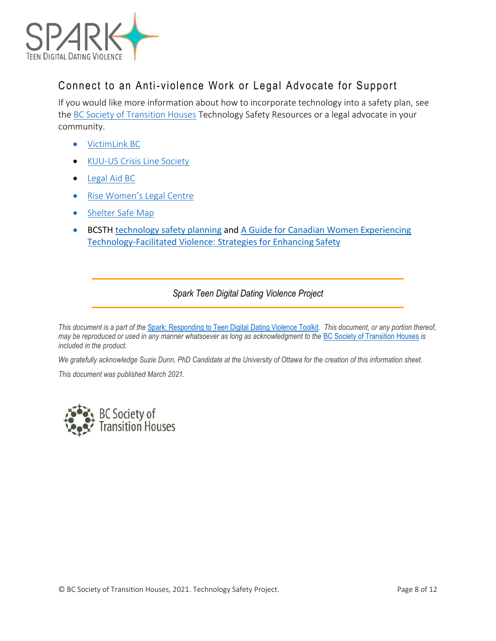

# Connect to an Anti- violence Work or Legal Advocate for Support

If you would like more information about how to incorporate technology into a safety plan, see the [BC Society of Transition Houses](https://bcsth.ca/technology-safety-project-resources/) Technology Safety Resources or a legal advocate in your community.

- [VictimLink BC](https://www.victimsinfo.ca/en/services/victimlink)
- [KUU-US Crisis Line Society](https://www.kuu-uscrisisline.com/24-hour-crisis-line)
- Legal [Aid BC](https://lss.bc.ca/)
- [Rise Women's Legal Centre](https://womenslegalcentre.ca/)
- Shelter Safe Map
- BCSTH [technology safety planning](https://bcsth.ca/techsafetytoolkit/technology-safety-plan-tip-sheet-for-women-and-anti-violence-workers/) and A Guide for Canadian Women Experiencing [Technology-Facilitated Violence: Strategies for Enhancing Safety](https://bcsth.ca/wp-content/uploads/2019/03/BCSTH-A-guide-for-Canadian-women-experiencing-technology-facilitated-violence-2019.pdf)

#### *Spark Teen Digital Dating Violence Project*

*This document is a part of the* [Spark: Responding to Teen Digital Dating Violence Toolkit](https://bcsth.ca/teendigitaldatingviolence/)*. This document, or any portion thereof, may be reproduced or used in any manner whatsoever as long as acknowledgment to the [BC Society of Transition Houses](https://bcsth.ca/technology-safety-project-resources/safety-planning-resources/) is included in the product.*

*We gratefully acknowledge Suzie Dunn, PhD Candidate at the University of Ottawa for the creation of this information sheet.*

*This document was published March 2021.*

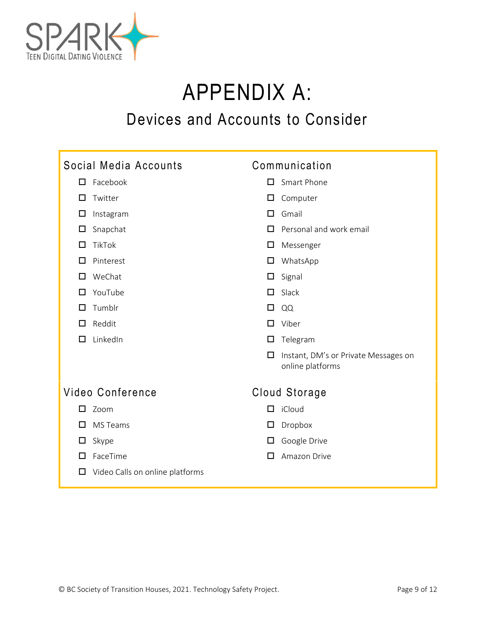

# APPENDIX A:

# Devices and Accounts to Consider

| Social Media Accounts                | Communication                                                 |
|--------------------------------------|---------------------------------------------------------------|
| Facebook                             | Smart Phone                                                   |
| □                                    | $\Box$                                                        |
| Twitter                              | Computer                                                      |
| □                                    | □                                                             |
| □                                    | Gmail                                                         |
| Instagram                            | п                                                             |
| Snapchat                             | Personal and work email                                       |
| □                                    | П                                                             |
| TikTok                               | Messenger                                                     |
| □                                    | □                                                             |
| Pinterest                            | WhatsApp                                                      |
| □                                    | □                                                             |
| WeChat                               | Signal                                                        |
| □                                    | □                                                             |
| YouTube                              | Slack                                                         |
| □                                    | П                                                             |
| Tumblr                               | QQ                                                            |
| □                                    | □                                                             |
| Reddit                               | Viber                                                         |
| □                                    | П                                                             |
| LinkedIn                             | Telegram                                                      |
| □                                    | □                                                             |
|                                      | Instant, DM's or Private Messages on<br>□<br>online platforms |
| Video Conference                     | Cloud Storage                                                 |
| Zoom                                 | iCloud                                                        |
| □                                    | □                                                             |
| <b>MS Teams</b>                      | Dropbox                                                       |
| ◻                                    | □                                                             |
| Skype                                | Google Drive                                                  |
| □                                    | $\Box$                                                        |
| FaceTime                             | Amazon Drive                                                  |
| □                                    | $\Box$                                                        |
| Video Calls on online platforms<br>□ |                                                               |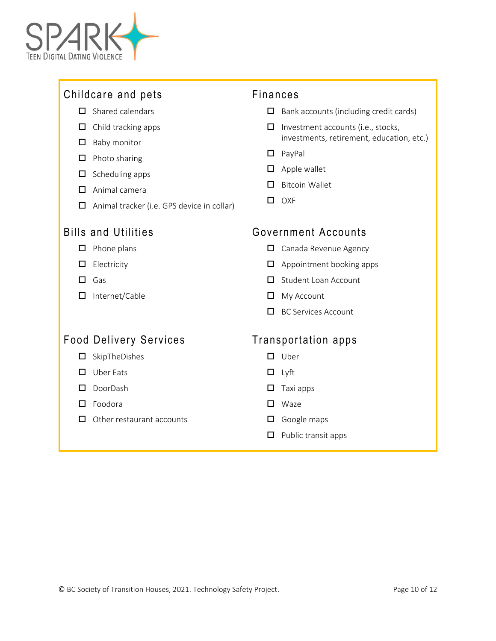

| Childcare and pets                         | <b>Finances</b>                           |
|--------------------------------------------|-------------------------------------------|
| Shared calendars                           | Bank accounts (including credit cards)    |
| П                                          | ப                                         |
| Child tracking apps                        | □                                         |
| □                                          | Investment accounts (i.e., stocks,        |
| Baby monitor<br>□                          | investments, retirement, education, etc.) |
| Photo sharing                              | PayPal                                    |
| ப                                          | □                                         |
| Scheduling apps                            | Apple wallet                              |
| □                                          | □                                         |
| Animal camera                              | <b>Bitcoin Wallet</b>                     |
| □                                          | П                                         |
| Animal tracker (i.e. GPS device in collar) | OXF                                       |
| □                                          | П                                         |
|                                            |                                           |
| <b>Bills and Utilities</b>                 | Government Accounts                       |
| Phone plans                                | Canada Revenue Agency                     |
| ப                                          | ப                                         |
| Electricity                                | Appointment booking apps                  |
| □                                          | □                                         |
| Gas                                        | <b>Student Loan Account</b>               |
| H                                          | П                                         |
| Internet/Cable                             | My Account                                |
| H                                          | ப                                         |
|                                            | <b>BC Services Account</b><br>□           |
|                                            |                                           |
| <b>Food Delivery Services</b>              | Transportation apps                       |
| SkipTheDishes                              | Uber                                      |
| □                                          | п                                         |
| <b>Uber Eats</b>                           | Lyft                                      |
| □                                          | □                                         |
| DoorDash                                   | Taxi apps                                 |
| $\Box$                                     | □                                         |
| Foodora                                    | Waze                                      |
| Other restaurant accounts                  | Google maps                               |
| H                                          | ப                                         |
|                                            |                                           |

 $\Box$  Public transit apps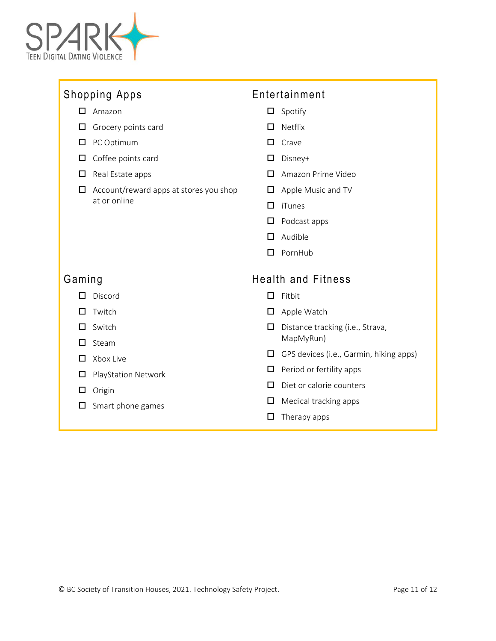

| Shopping Apps                                               | Entertainment                           |
|-------------------------------------------------------------|-----------------------------------------|
| Amazon                                                      | Spotify                                 |
| П                                                           | $\Box$                                  |
| Grocery points card                                         | Netflix                                 |
| □                                                           | $\Box$                                  |
| PC Optimum                                                  | □                                       |
| □                                                           | Crave                                   |
| Coffee points card                                          | □                                       |
| □                                                           | Disney+                                 |
| Real Estate apps                                            | Amazon Prime Video                      |
| □                                                           | П                                       |
| Account/reward apps at stores you shop<br>□<br>at or online | Apple Music and TV<br>□                 |
|                                                             | iTunes<br>□                             |
|                                                             | Podcast apps<br>□                       |
|                                                             | Audible<br>□                            |
|                                                             | PornHub<br>$\Box$                       |
|                                                             |                                         |
| Gaming                                                      | <b>Health and Fitness</b>               |
| Discord                                                     | $\Box$                                  |
| П                                                           | Fitbit                                  |
| Twitch                                                      | Apple Watch                             |
| П                                                           | □                                       |
| Switch                                                      | Distance tracking (i.e., Strava,        |
| П                                                           | □                                       |
| □<br>Steam                                                  | MapMyRun)                               |
| Xbox Live                                                   | GPS devices (i.e., Garmin, hiking apps) |
| □                                                           | ◻                                       |
| <b>PlayStation Network</b>                                  | Period or fertility apps                |
| □                                                           | □                                       |
| Origin                                                      | Diet or calorie counters                |
| □                                                           | п                                       |
| Smart phone games                                           | Medical tracking apps                   |
| □                                                           | □                                       |
|                                                             | Therapy apps<br>□                       |
|                                                             |                                         |